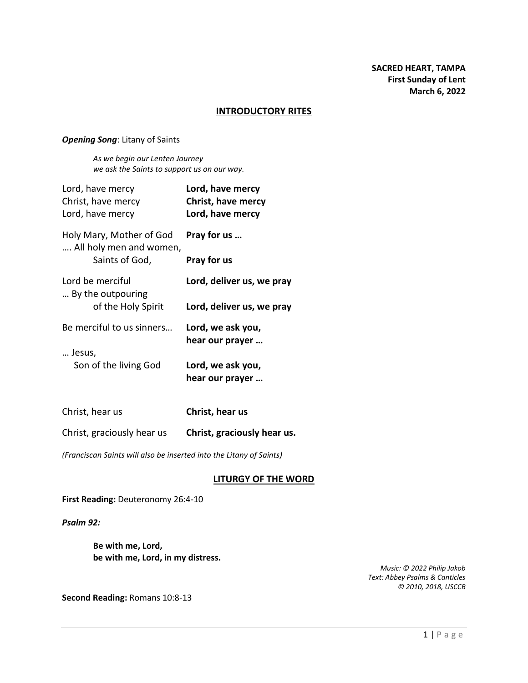#### **INTRODUCTORY RITES**

#### *Opening Song*: Litany of Saints

*As we begin our Lenten Journey we ask the Saints to support us on our way.*

| Lord, have mercy<br>Christ, have mercy<br>Lord, have mercy | Lord, have mercy<br>Christ, have mercy<br>Lord, have mercy |
|------------------------------------------------------------|------------------------------------------------------------|
| Holy Mary, Mother of God<br>All holy men and women,        | Pray for us                                                |
| Saints of God,                                             | Pray for us                                                |
| Lord be merciful<br>By the outpouring                      | Lord, deliver us, we pray                                  |
| of the Holy Spirit                                         | Lord, deliver us, we pray                                  |
| Be merciful to us sinners                                  | Lord, we ask you,<br>hear our prayer                       |
| Jesus,<br>Son of the living God                            | Lord, we ask you,<br>hear our prayer                       |

| Christ, hear us            | Christ, hear us             |
|----------------------------|-----------------------------|
| Christ, graciously hear us | Christ, graciously hear us. |

*(Franciscan Saints will also be inserted into the Litany of Saints)*

## **LITURGY OF THE WORD**

**First Reading:** Deuteronomy 26:4-10

*Psalm 92:*

**Be with me, Lord, be with me, Lord, in my distress.**

> *Music: © 2022 Philip Jakob Text: Abbey Psalms & Canticles © 2010, 2018, USCCB*

**Second Reading:** Romans 10:8-13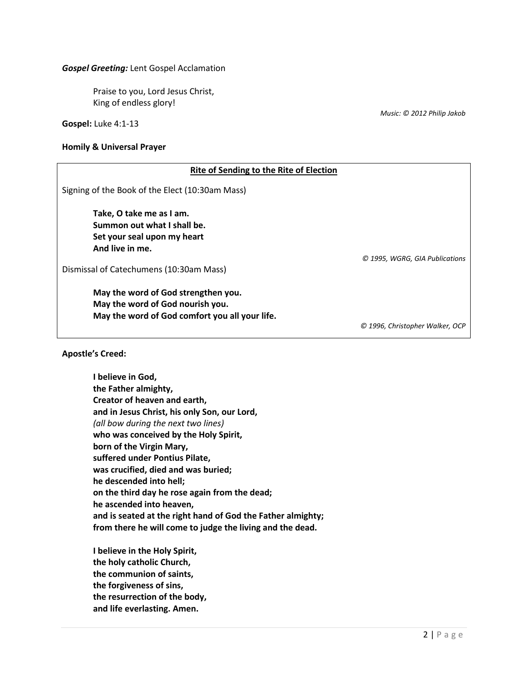#### *Gospel Greeting:* Lent Gospel Acclamation

Praise to you, Lord Jesus Christ, King of endless glory!

**Gospel:** Luke 4:1-13

#### **Homily & Universal Prayer**

| <b>Rite of Sending to the Rite of Election</b>  |                                 |  |
|-------------------------------------------------|---------------------------------|--|
| Signing of the Book of the Elect (10:30am Mass) |                                 |  |
| Take, O take me as I am.                        |                                 |  |
| Summon out what I shall be.                     |                                 |  |
| Set your seal upon my heart                     |                                 |  |
| And live in me.                                 |                                 |  |
|                                                 | © 1995, WGRG, GIA Publications  |  |
| Dismissal of Catechumens (10:30am Mass)         |                                 |  |
| May the word of God strengthen you.             |                                 |  |
| May the word of God nourish you.                |                                 |  |
| May the word of God comfort you all your life.  |                                 |  |
|                                                 | © 1996, Christopher Walker, OCP |  |
|                                                 |                                 |  |

**Apostle's Creed:**

**I believe in God, the Father almighty, Creator of heaven and earth, and in Jesus Christ, his only Son, our Lord,** *(all bow during the next two lines)* **who was conceived by the Holy Spirit, born of the Virgin Mary, suffered under Pontius Pilate, was crucified, died and was buried; he descended into hell; on the third day he rose again from the dead; he ascended into heaven, and is seated at the right hand of God the Father almighty; from there he will come to judge the living and the dead.**

**I believe in the Holy Spirit, the holy catholic Church, the communion of saints, the forgiveness of sins, the resurrection of the body, and life everlasting. Amen.**

*Music: © 2012 Philip Jakob*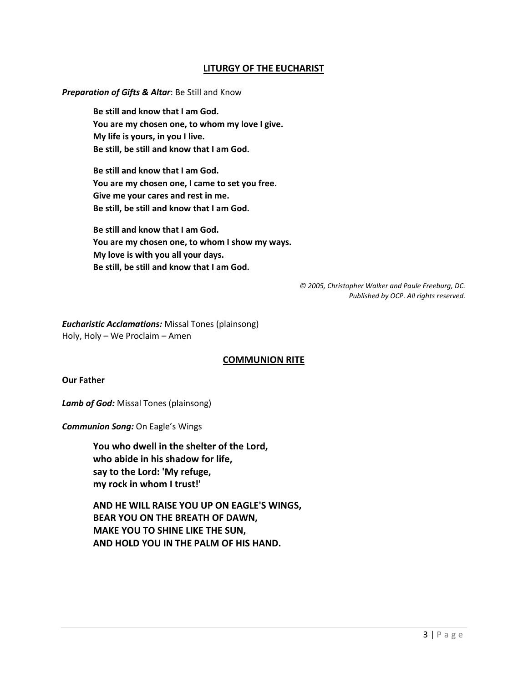## **LITURGY OF THE EUCHARIST**

#### *Preparation of Gifts & Altar*: Be Still and Know

**Be still and know that I am God. You are my chosen one, to whom my love I give. My life is yours, in you I live. Be still, be still and know that I am God.**

**Be still and know that I am God. You are my chosen one, I came to set you free. Give me your cares and rest in me. Be still, be still and know that I am God.**

**Be still and know that I am God. You are my chosen one, to whom I show my ways. My love is with you all your days. Be still, be still and know that I am God.**

> *© 2005, Christopher Walker and Paule Freeburg, DC. Published by OCP. All rights reserved.*

*Eucharistic Acclamations:* Missal Tones (plainsong) Holy, Holy – We Proclaim – Amen

## **COMMUNION RITE**

#### **Our Father**

*Lamb of God:* Missal Tones (plainsong)

*Communion Song:* On Eagle's Wings

**You who dwell in the shelter of the Lord, who abide in his shadow for life, say to the Lord: 'My refuge, my rock in whom I trust!'**

**AND HE WILL RAISE YOU UP ON EAGLE'S WINGS, BEAR YOU ON THE BREATH OF DAWN, MAKE YOU TO SHINE LIKE THE SUN, AND HOLD YOU IN THE PALM OF HIS HAND.**